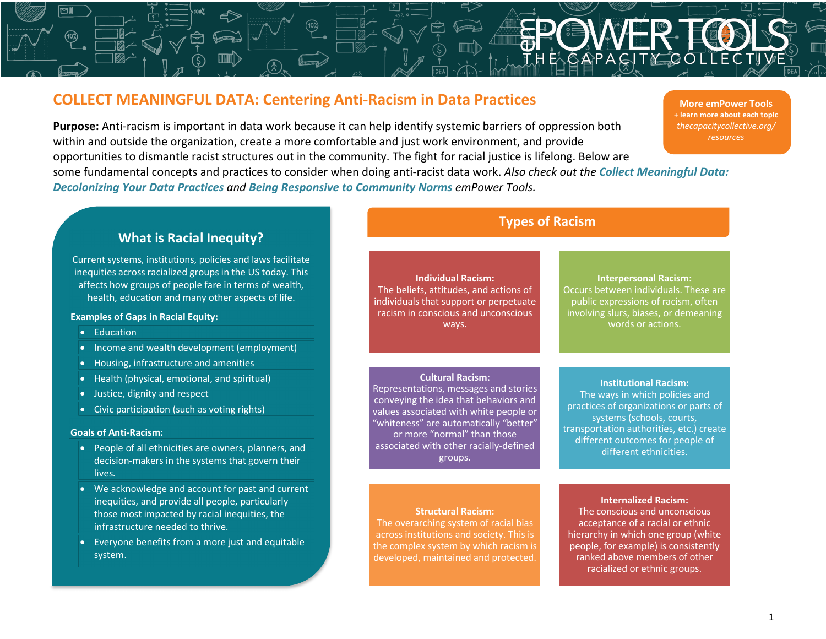# **COLLECT MEANINGFUL DATA: Centering Anti-Racism in Data Practices**

**Purpose:** Anti-racism is important in data work because it can help identify systemic barriers of oppression both within and outside the organization, create a more comfortable and just work environment, and provide opportunities to dismantle racist structures out in the community. The fight for racial justice is lifelong. Below are some fundamental concepts and practices to consider when doing anti-racist data work. *Also check out the Collect Meaningful Data: Decolonizing Your Data Practices and Being Responsive to Community Norms emPower Tools.*

**More emPower Tools + learn more about each topic** *thecapacitycollective.org/ resources*

## **What is Racial Inequity?**

Current systems, institutions, policies and laws facilitate inequities across racialized groups in the US today. This affects how groups of people fare in terms of wealth, health, education and many other aspects of life.

#### **Examples of Gaps in Racial Equity:**

- Education
- Income and wealth development (employment)
- Housing, infrastructure and amenities
- Health (physical, emotional, and spiritual)
- Justice, dignity and respect
- Civic participation (such as voting rights)

#### **Goals of Anti-Racism:**

- People of all ethnicities are owners, planners, and decision-makers in the systems that govern their lives.
- We acknowledge and account for past and current inequities, and provide all people, particularly those most impacted by racial inequities, the infrastructure needed to thrive.
- Everyone benefits from a more just and equitable system.

## **Individual Racism:** The beliefs, attitudes, and actions of individuals that support or perpetuate racism in conscious and unconscious ways.

#### **Cultural Racism:**

Representations, messages and stories conveying the idea that behaviors and values associated with white people or "whiteness" are automatically "better" or more "normal" than those associated with other racially-defined groups.

## **Types of Racism**

### **Interpersonal Racism:**  Occurs between individuals. These are public expressions of racism, often involving slurs, biases, or demeaning words or actions.

#### **Institutional Racism:**

The ways in which policies and practices of organizations or parts of systems (schools, courts, transportation authorities, etc.) create different outcomes for people of different ethnicities.

#### **Structural Racism:**

The overarching system of racial bias across institutions and society. This is the complex system by which racism is developed, maintained and protected.

## **Internalized Racism:**

The conscious and unconscious acceptance of a racial or ethnic hierarchy in which one group (white people, for example) is consistently ranked above members of other racialized or ethnic groups.